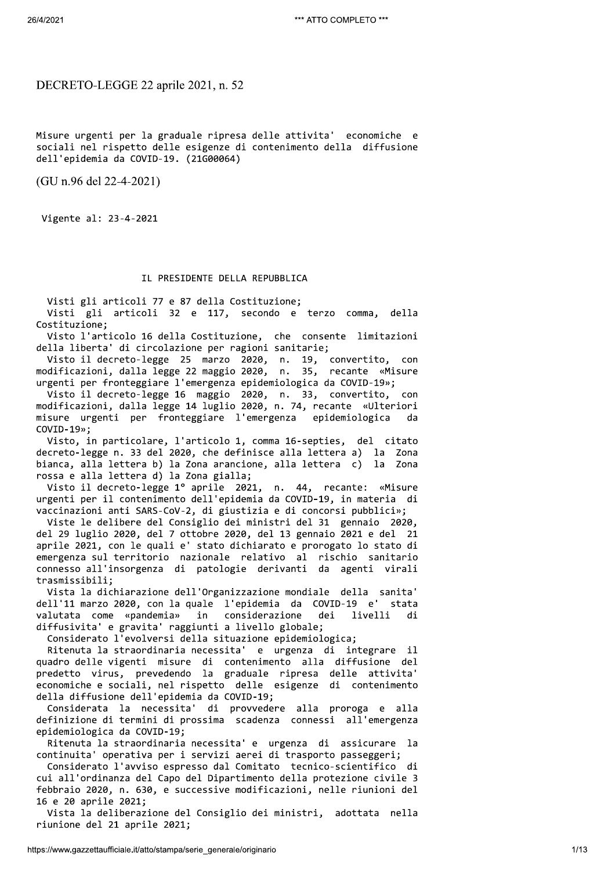DECRETO-LEGGE 22 aprile 2021, n. 52

Misure urgenti per la graduale ripresa delle attivita' economiche e sociali nel rispetto delle esigenze di contenimento della diffusione dell'epidemia da COVID-19. (21G00064)

(GU n.96 del 22-4-2021)

Vigente al: 23-4-2021

# IL PRESIDENTE DELLA REPUBBLICA

Visti gli articoli 77 e 87 della Costituzione;

Visti gli articoli 32 e 117, secondo e terzo comma, della Costituzione;

Visto l'articolo 16 della Costituzione, che consente limitazioni della liberta' di circolazione per ragioni sanitarie;

Visto il decreto-legge 25 marzo 2020, n. 19, convertito, con<br>modificazioni, dalla legge 22 maggio 2020, n. 35, recante «Misure urgenti per fronteggiare l'emergenza epidemiologica da COVID-19»;

Visto il decreto-legge 16 maggio 2020, n. 33, convertito, con<br>modificazioni, dalla legge 14 luglio 2020, n. 74, recante «Ulteriori misure urgenti per fronteggiare l'emergenza epidemiologica da  $COVID-19$ »;

Visto, in particolare, l'articolo 1, comma 16-septies, del citato decreto-legge n. 33 del 2020, che definisce alla lettera a) la Zona bianca, alla lettera b) la Zona arancione, alla lettera c) la Zona rossa e alla lettera d) la Zona gialla;

Visto il decreto-legge 1º aprile 2021, n. 44, recante: «Misure urgenti per il contenimento dell'epidemia da COVID-19, in materia di vaccinazioni anti SARS-CoV-2, di giustizia e di concorsi pubblici»;

Viste le delibere del Consiglio dei ministri del 31 gennaio 2020, del 29 luglio 2020, del 7 ottobre 2020, del 13 gennaio 2021 e del 21 aprile 2021, con le quali e' stato dichiarato e prorogato lo stato di emergenza sul territorio nazionale relativo al rischio sanitario connesso all'insorgenza di patologie derivanti da agenti virali trasmissibili;

Vista la dichiarazione dell'Organizzazione mondiale della sanita' dell'11 marzo 2020, con la quale l'epidemia da COVID-19 e' stata valutata come «pandemia» in considerazione dei livelli di diffusivita' e gravita' raggiunti a livello globale;

Considerato l'evolversi della situazione epidemiologica;

Ritenuta la straordinaria necessita' e urgenza di integrare il quadro delle vigenti misure di contenimento alla diffusione del<br>predetto virus, prevedendo la graduale ripresa delle attivita' economiche e sociali, nel rispetto delle esigenze di contenimento della diffusione dell'epidemia da COVID-19;

Considerata la necessita' di provvedere alla proroga e alla definizione di termini di prossima scadenza connessi all'emergenza epidemiologica da COVID-19;

Ritenuta la straordinaria necessita' e urgenza di assicurare la continuita' operativa per i servizi aerei di trasporto passeggeri;

Considerato l'avviso espresso dal Comitato tecnico-scientifico di cui all'ordinanza del Capo del Dipartimento della protezione civile 3 febbraio 2020, n. 630, e successive modificazioni, nelle riunioni del 16 e 20 aprile 2021;

Vista la deliberazione del Consiglio dei ministri, adottata nella riunione del 21 aprile 2021;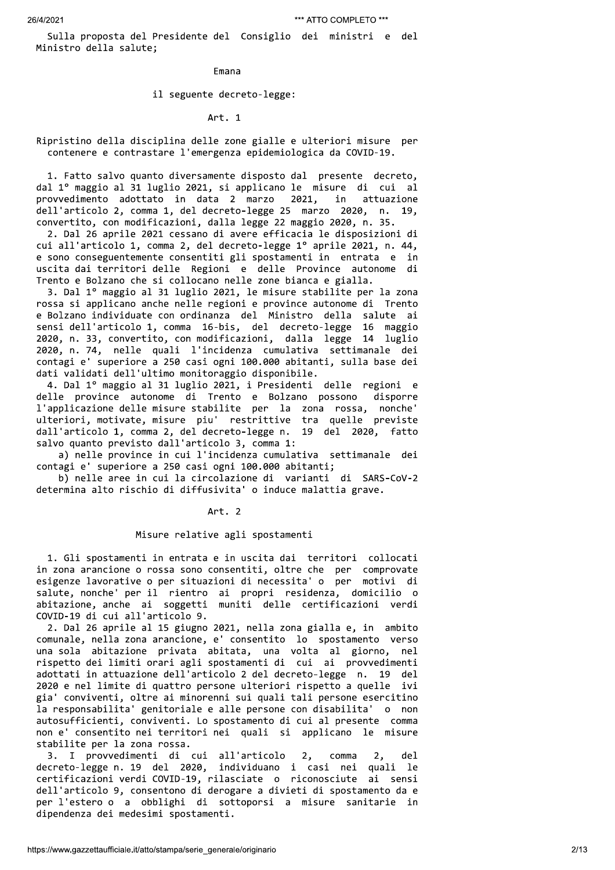Sulla proposta del Presidente del Consiglio dei ministri e del Ministro della salute;

**Fmana** 

# il seguente decreto-legge:

# Art. 1

Ripristino della disciplina delle zone gialle e ulteriori misure per contenere e contrastare l'emergenza epidemiologica da COVID-19.

1. Fatto salvo quanto diversamente disposto dal presente decreto, dal 1º maggio al 31 luglio 2021, si applicano le misure di cui al attuazione provvedimento adottato in data 2 marzo 2021, in dell'articolo 2, comma 1, del decreto-legge 25 marzo 2020, n. 19, convertito, con modificazioni, dalla legge 22 maggio 2020, n. 35.

2. Dal 26 aprile 2021 cessano di avere efficacia le disposizioni di cui all'articolo 1, comma 2, del decreto-legge 1° aprile 2021, n. 44, e sono conseguentemente consentiti gli spostamenti in entrata e in uscita dai territori delle Regioni e delle Province autonome di Trento e Bolzano che si collocano nelle zone bianca e gialla.

3. Dal 1º maggio al 31 luglio 2021, le misure stabilite per la zona rossa si applicano anche nelle regioni e province autonome di Trento e Bolzano individuate con ordinanza del Ministro della salute ai sensi dell'articolo 1, comma 16-bis, del decreto-legge 16 maggio 2020, n. 33, convertito, con modificazioni, dalla legge 14 luglio 2020, n. 74, nelle quali l'incidenza cumulativa settimanale dei contagi e' superiore a 250 casi ogni 100.000 abitanti, sulla base dei dati validati dell'ultimo monitoraggio disponibile.

4. Dal 1º maggio al 31 luglio 2021, i Presidenti delle regioni e delle province autonome di Trento e Bolzano possono disporre l'applicazione delle misure stabilite per la zona rossa, nonche' ulteriori, motivate, misure piu' restrittive tra quelle previste dall'articolo 1, comma 2, del decreto-legge n. 19 del 2020, fatto salvo quanto previsto dall'articolo 3, comma 1:

a) nelle province in cui l'incidenza cumulativa settimanale dei contagi e' superiore a 250 casi ogni 100.000 abitanti;

b) nelle aree in cui la circolazione di varianti di SARS-CoV-2 determina alto rischio di diffusivita' o induce malattia grave.

### Art. 2

# Misure relative agli spostamenti

1. Gli spostamenti in entrata e in uscita dai territori collocati in zona arancione o rossa sono consentiti, oltre che per comprovate esigenze lavorative o per situazioni di necessita' o per motivi di salute, nonche' per il rientro ai propri residenza, domicilio o abitazione, anche ai soggetti muniti delle certificazioni verdi COVID-19 di cui all'articolo 9.

2. Dal 26 aprile al 15 giugno 2021, nella zona gialla e, in ambito comunale, nella zona arancione, e' consentito lo spostamento verso una sola abitazione privata abitata, una volta al giorno, nel rispetto dei limiti orari agli spostamenti di cui ai provvedimenti adottati in attuazione dell'articolo 2 del decreto-legge n. 19 del 2020 e nel limite di quattro persone ulteriori rispetto a quelle ivi gia' conviventi, oltre ai minorenni sui quali tali persone esercitino la responsabilita' genitoriale e alle persone con disabilita' o non autosufficienti, conviventi. Lo spostamento di cui al presente comma non e' consentito nei territori nei quali si applicano le misure stabilite per la zona rossa.

3. I provvedimenti di cui all'articolo  $2,$ comma del  $2.$ decreto-legge n. 19 del 2020, individuano i casi nei quali le certificazioni verdi COVID-19, rilasciate o riconosciute ai sensi dell'articolo 9, consentono di derogare a divieti di spostamento da e per l'estero o a obblighi di sottoporsi a misure sanitarie in dipendenza dei medesimi spostamenti.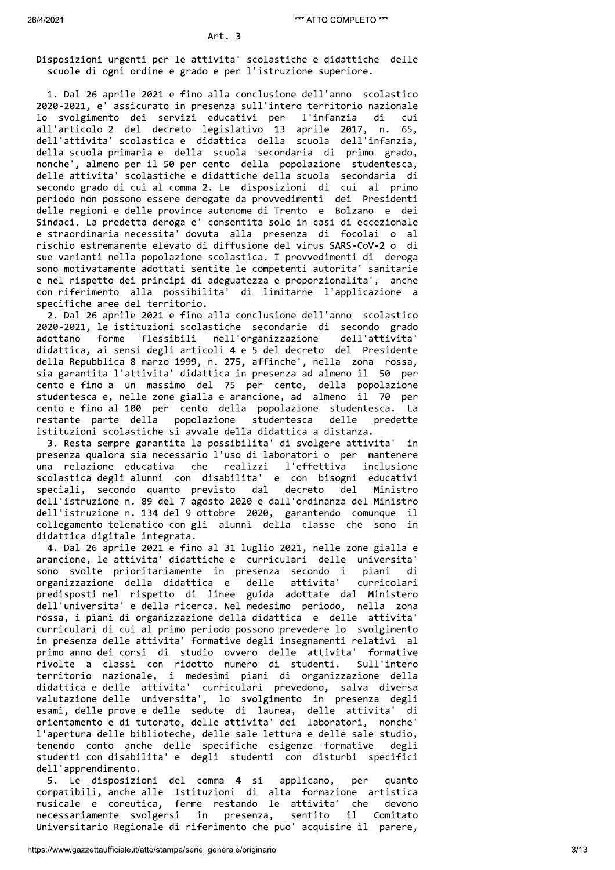Disposizioni urgenti per le attivita' scolastiche e didattiche delle scuole di ogni ordine e grado e per l'istruzione superiore.

1. Dal 26 aprile 2021 e fino alla conclusione dell'anno scolastico 2020-2021, e' assicurato in presenza sull'intero territorio nazionale lo svolgimento dei servizi educativi per l'infanzia di cui all'articolo 2 del decreto legislativo 13 aprile 2017, n. 65, dell'attivita' scolastica e didattica della scuola dell'infanzia, della scuola primaria e della scuola secondaria di primo grado, nonche', almeno per il 50 per cento della popolazione studentesca, delle attivita' scolastiche e didattiche della scuola secondaria di secondo grado di cui al comma 2. Le disposizioni di cui al primo periodo non possono essere derogate da provvedimenti dei Presidenti delle regioni e delle province autonome di Trento e Bolzano e dei Sindaci. La predetta deroga e' consentita solo in casi di eccezionale e straordinaria necessita' dovuta alla presenza di focolai o al rischio estremamente elevato di diffusione del virus SARS-CoV-2 o di sue varianti nella popolazione scolastica. I provvedimenti di deroga sono motivatamente adottati sentite le competenti autorita' sanitarie e nel rispetto dei principi di adeguatezza e proporzionalita', anche con riferimento alla possibilita' di limitarne l'applicazione a specifiche aree del territorio.

2. Dal 26 aprile 2021 e fino alla conclusione dell'anno scolastico 2020-2021, le istituzioni scolastiche secondarie di secondo grado nell'organizzazione adottano forme flessibili dell'attivita' didattica, ai sensi degli articoli 4 e 5 del decreto del Presidente della Repubblica 8 marzo 1999, n. 275, affinche', nella zona rossa, sia garantita l'attivita' didattica in presenza ad almeno il 50 per cento e fino a un massimo del 75 per cento, della popolazione studentesca e, nelle zone gialla e arancione, ad almeno il 70 per cento e fino al 100 per cento della popolazione studentesca. La predette restante parte della popolazione studentesca delle istituzioni scolastiche si avvale della didattica a distanza.

3. Resta sempre garantita la possibilita' di svolgere attivita' in presenza qualora sia necessario l'uso di laboratori o per mantenere una relazione educativa che realizzi l'effettiva inclusione scolastica degli alunni con disabilita' e con bisogni educativi speciali, secondo quanto previsto dal decreto  $de<sub>1</sub>$ Ministro dell'istruzione n. 89 del 7 agosto 2020 e dall'ordinanza del Ministro dell'istruzione n. 134 del 9 ottobre 2020, garantendo comunque il collegamento telematico con gli alunni della classe che sono in didattica digitale integrata.

4. Dal 26 aprile 2021 e fino al 31 luglio 2021, nelle zone gialla e arancione, le attivita' didattiche e curriculari delle universita' sono svolte prioritariamente in presenza secondo i piani di organizzazione della didattica e delle attivita' curricolari predisposti nel rispetto di linee guida adottate dal Ministero dell'universita' e della ricerca. Nel medesimo periodo, nella zona rossa, i piani di organizzazione della didattica e delle attivita' curriculari di cui al primo periodo possono prevedere lo svolgimento in presenza delle attivita' formative degli insegnamenti relativi al primo anno dei corsi di studio ovvero delle attivita' formative rivolte a classi con ridotto numero di studenti. Sull'intero territorio nazionale, i medesimi piani di organizzazione della didattica e delle attivita' curriculari prevedono, salva diversa valutazione delle universita', lo svolgimento in presenza degli esami, delle prove e delle sedute di laurea, delle attivita' **di** orientamento e di tutorato, delle attivita' dei laboratori, nonche' l'apertura delle biblioteche, delle sale lettura e delle sale studio, tenendo conto anche delle specifiche esigenze formative degli studenti con disabilita' e degli studenti con disturbi specifici dell'apprendimento.

5. Le disposizioni del comma 4 si per applicano, quanto compatibili, anche alle Istituzioni di alta formazione artistica musicale e coreutica, ferme restando le attivita' che devono necessariamente svolgersi in presenza, sentito  $11$ Comitato Universitario Regionale di riferimento che puo' acquisire il parere,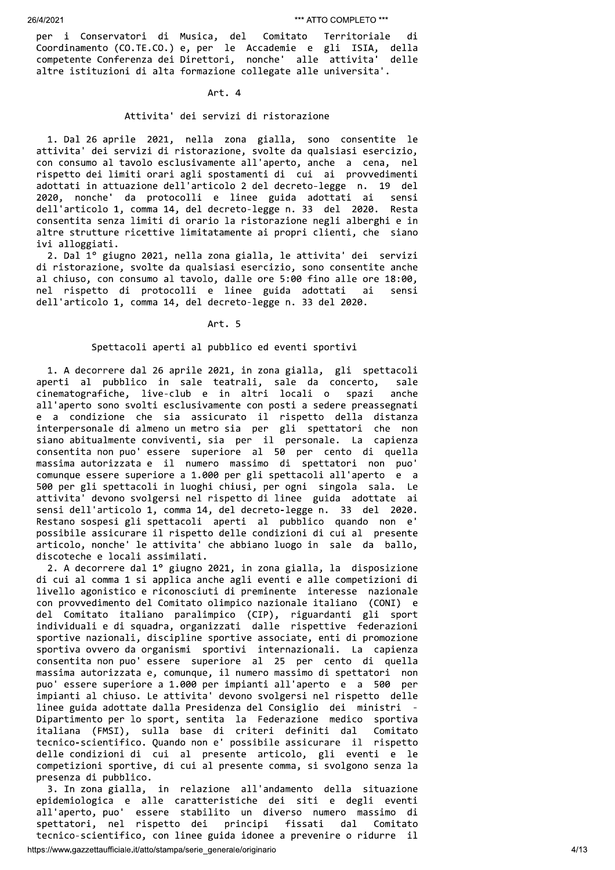per i Conservatori di Musica, del Comitato Territoriale di Coordinamento (CO.TE.CO.) e, per le Accademie e gli ISIA, della competente Conferenza dei Direttori, nonche' alle attivita' delle altre istituzioni di alta formazione collegate alle universita'.

# Art. 4

### Attivita' dei servizi di ristorazione

1. Dal 26 aprile 2021, nella zona gialla, sono consentite le attivita' dei servizi di ristorazione, svolte da qualsiasi esercizio, con consumo al tavolo esclusivamente all'aperto, anche a cena, nel rispetto dei limiti orari agli spostamenti di cui ai provvedimenti adottati in attuazione dell'articolo 2 del decreto-legge n. 19 del 2020, nonche' da protocolli e linee guida adottati ai sensi dell'articolo 1, comma 14, del decreto-legge n. 33 del 2020. Resta consentita senza limiti di orario la ristorazione negli alberghi e in altre strutture ricettive limitatamente ai propri clienti, che siano ivi alloggiati.

2. Dal 1º giugno 2021, nella zona gialla, le attivita' dei servizi di ristorazione, svolte da qualsiasi esercizio, sono consentite anche al chiuso, con consumo al tavolo, dalle ore 5:00 fino alle ore 18:00, nel rispetto di protocolli e linee guida adottati ai sensi dell'articolo 1, comma 14, del decreto-legge n. 33 del 2020.

# Art. 5

## Spettacoli aperti al pubblico ed eventi sportivi

1. A decorrere dal 26 aprile 2021, in zona gialla, gli spettacoli aperti al pubblico in sale teatrali, sale da concerto, sale cinematografiche, live-club e in altri locali o spazi anche all'aperto sono svolti esclusivamente con posti a sedere preassegnati e a condizione che sia assicurato il rispetto della distanza interpersonale di almeno un metro sia per gli spettatori che non<br>siano abitualmente conviventi, sia per il personale. La capienza consentita non puo' essere superiore al 50 per cento di quella<br>massima autorizzata e il numero massimo di spettatori non puo' comunque essere superiore a 1.000 per gli spettacoli all'aperto e a 500 per gli spettacoli in luoghi chiusi, per ogni singola sala. Le attivita' devono svolgersi nel rispetto di linee guida adottate ai sensi dell'articolo 1, comma 14, del decreto-legge n. 33 del 2020. Restano sospesi gli spettacoli aperti al pubblico quando non e' possibile assicurare il rispetto delle condizioni di cui al presente articolo, nonche' le attivita' che abbiano luogo in sale da ballo, discoteche e locali assimilati.

2. A decorrere dal 1º giugno 2021, in zona gialla, la disposizione di cui al comma 1 si applica anche agli eventi e alle competizioni di livello agonistico e riconosciuti di preminente interesse nazionale con provvedimento del Comitato olimpico nazionale italiano (CONI) e del Comitato italiano paralimpico (CIP), riguardanti gli sport<br>individuali e di squadra, organizzati dalle rispettive federazioni sportive nazionali, discipline sportive associate, enti di promozione sportiva ovvero da organismi sportivi internazionali. La capienza consentita non puo' essere superiore al 25 per cento di quella massima autorizzata e, comunque, il numero massimo di spettatori non puo' essere superiore a 1.000 per impianti all'aperto e a 500 per impianti al chiuso. Le attivita' devono svolgersi nel rispetto delle linee guida adottate dalla Presidenza del Consiglio dei ministri Dipartimento per lo sport, sentita la Federazione medico sportiva<br>italiana (FMSI), sulla base di criteri definiti dal Comitato tecnico-scientifico. Quando non e' possibile assicurare il rispetto delle condizioni di cui al presente articolo, gli eventi e le competizioni sportive, di cui al presente comma, si svolgono senza la presenza di pubblico.

3. In zona gialla, in relazione all'andamento della situazione epidemiologica e alle caratteristiche dei siti e degli eventi all'aperto, puo' essere stabilito un diverso numero massimo di spettatori, nel rispetto dei principi fissati dal Comitato tecnico-scientifico, con linee guida idonee a prevenire o ridurre il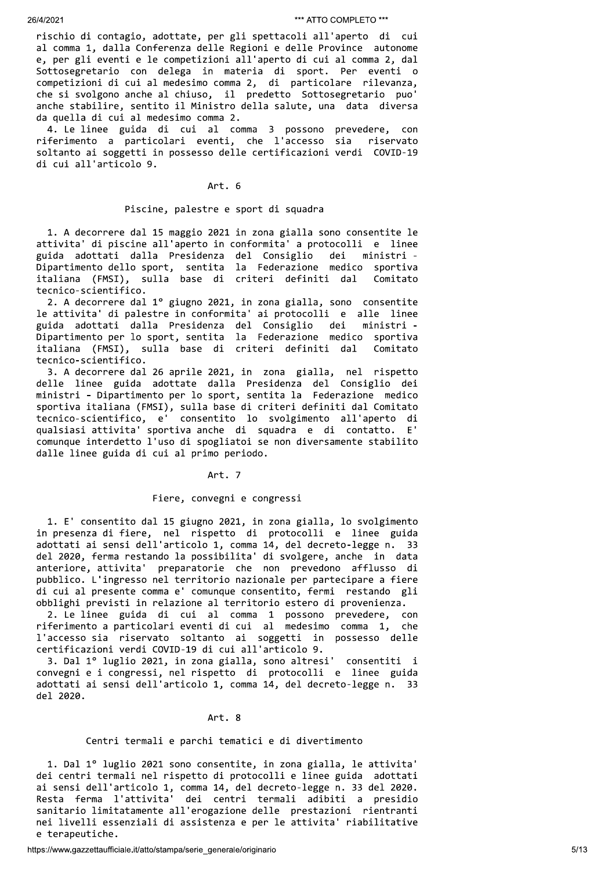20082<br>
and the district of the statistic particle of the statistic of the statistic of the statistic of the statistic of the statistic of the statistic of the statistic of the statistic of the statistic of the statistic o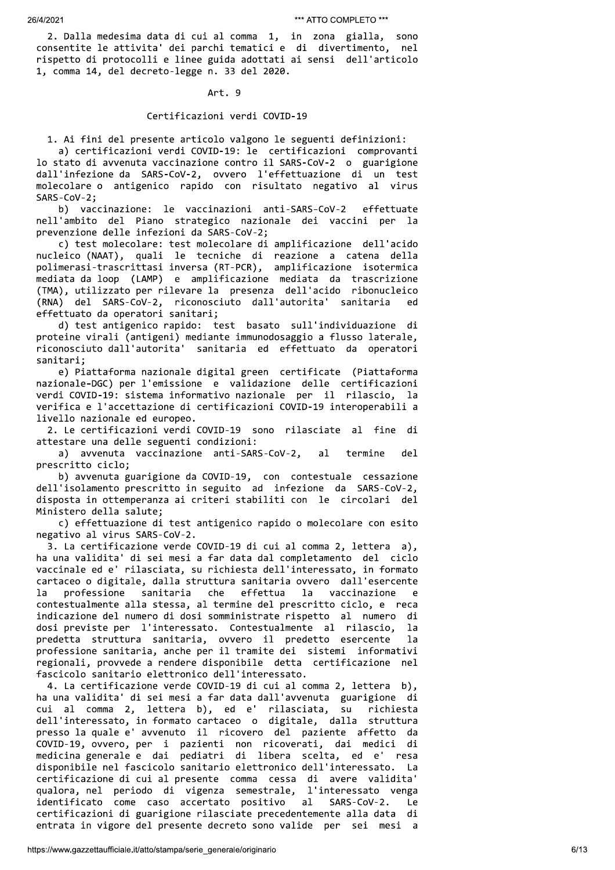2. Dalla medesima data di cui al comma 1, in zona gialla, sono consentite le attivita' dei parchi tematici e di divertimento, nel rispetto di protocolli e linee guida adottati ai sensi dell'articolo 1, comma 14, del decreto-legge n. 33 del 2020.

## Art. 9

### Certificazioni verdi COVID-19

1. Ai fini del presente articolo valgono le seguenti definizioni: a) certificazioni verdi COVID-19: le certificazioni comprovanti lo stato di avvenuta vaccinazione contro il SARS-CoV-2 o guarigione dall'infezione da SARS-CoV-2, ovvero l'effettuazione di un test molecolare o antigenico rapido con risultato negativo al virus SARS-CoV-2;

b) vaccinazione: le vaccinazioni anti-SARS-CoV-2 effettuate nell'ambito del Piano strategico nazionale dei vaccini per la prevenzione delle infezioni da SARS-CoV-2;

c) test molecolare: test molecolare di amplificazione dell'acido nucleico (NAAT), quali le tecniche di reazione a catena della polimerasi-trascrittasi inversa (RT-PCR), amplificazione isotermica mediata da loop (LAMP) e amplificazione mediata da trascrizione (TMA), utilizzato per rilevare la presenza dell'acido ribonucleico (RNA) del SARS-CoV-2, riconosciuto dall'autorita' sanitaria ed effettuato da operatori sanitari;

d) test antigenico rapido: test basato sull'individuazione di proteine virali (antigeni) mediante immunodosaggio a flusso laterale, .<br>riconosciuto dall'autorita' sanitaria ed effettuato da operatori sanitari:

e) Piattaforma nazionale digital green certificate (Piattaforma nazionale-DGC) per l'emissione e validazione delle certificazioni verdi COVID-19: sistema informativo nazionale per il rilascio, la verifica e l'accettazione di certificazioni COVID-19 interoperabili a livello nazionale ed europeo.

2. Le certificazioni verdi COVID-19 sono rilasciate al fine di attestare una delle seguenti condizioni:

a) avvenuta vaccinazione anti-SARS-CoV-2,  $a1$ termine del prescritto ciclo;

b) avvenuta guarigione da COVID-19, con contestuale cessazione dell'isolamento prescritto in seguito ad infezione da SARS-CoV-2, disposta in ottemperanza ai criteri stabiliti con le circolari del Ministero della salute;

c) effettuazione di test antigenico rapido o molecolare con esito negativo al virus SARS-CoV-2.

3. La certificazione verde COVID-19 di cui al comma 2, lettera a), ha una validita' di sei mesi a far data dal completamento del ciclo vaccinale ed e' rilasciata, su richiesta dell'interessato, in formato cartaceo o digitale, dalla struttura sanitaria ovvero dall'esercente professione sanitaria che effettua vaccinazione  $1a$ la - e contestualmente alla stessa, al termine del prescritto ciclo, e reca indicazione del numero di dosi somministrate rispetto al numero di dosi previste per l'interessato. Contestualmente al rilascio,  $1a$ predetta struttura sanitaria, ovvero il predetto esercente  $1a$ professione sanitaria, anche per il tramite dei sistemi informativi regionali, provvede a rendere disponibile detta certificazione nel fascicolo sanitario elettronico dell'interessato.

4. La certificazione verde COVID-19 di cui al comma 2, lettera b), ha una validita' di sei mesi a far data dall'avvenuta guarigione di cui al comma 2, lettera b), ed e' rilasciata, su richiesta dell'interessato, in formato cartaceo o digitale, dalla struttura presso la quale e' avvenuto il ricovero del paziente affetto da COVID-19, ovvero, per i pazienti non ricoverati, dai medici di medicina generale e dai pediatri di libera scelta, ed e' resa disponibile nel fascicolo sanitario elettronico dell'interessato. La certificazione di cui al presente comma cessa di avere validita' qualora, nel periodo di vigenza semestrale, l'interessato venga identificato come caso accertato positivo al SARS-CoV-2. Le certificazioni di guarigione rilasciate precedentemente alla data di entrata in vigore del presente decreto sono valide per sei mesi a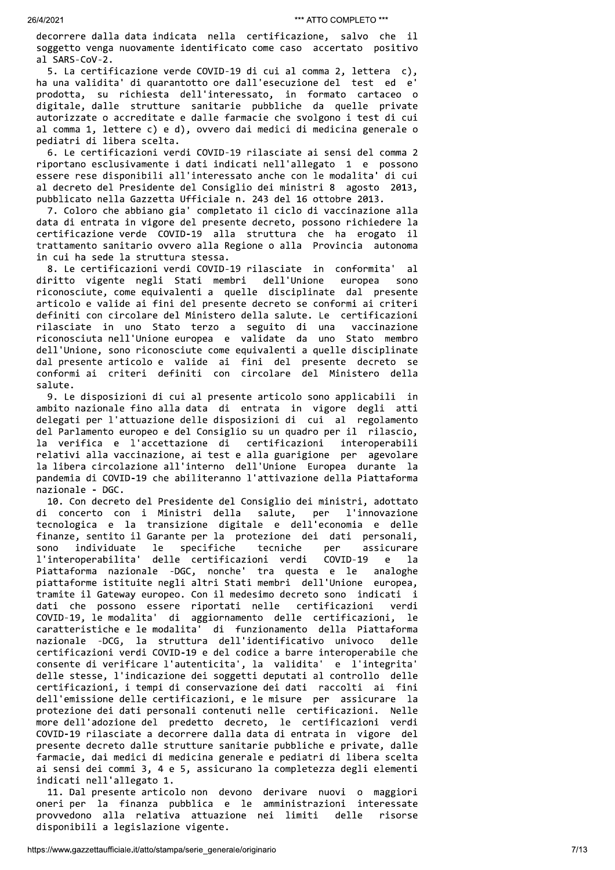decorrere dalla data indicata nella certificazione, salvo che il soggetto venga nuovamente identificato come caso accertato positivo al SARS-CoV-2.

5. La certificazione verde COVID-19 di cui al comma 2, lettera c), ha una validita' di quarantotto ore dall'esecuzione del test ed e' prodotta, su richiesta dell'interessato, in formato cartaceo o digitale, dalle strutture sanitarie pubbliche da quelle private autorizzate o accreditate e dalle farmacie che svolgono i test di cui al comma 1, lettere c) e d), ovvero dai medici di medicina generale o pediatri di libera scelta.

6. Le certificazioni verdi COVID-19 rilasciate ai sensi del comma 2 riportano esclusivamente i dati indicati nell'allegato 1 e possono essere rese disponibili all'interessato anche con le modalita' di cui al decreto del Presidente del Consiglio dei ministri 8 agosto 2013, pubblicato nella Gazzetta Ufficiale n. 243 del 16 ottobre 2013.

7. Coloro che abbiano gia' completato il ciclo di vaccinazione alla data di entrata in vigore del presente decreto, possono richiedere la certificazione verde COVID-19 alla struttura che ha erogato il trattamento sanitario ovvero alla Regione o alla Provincia autonoma in cui ha sede la struttura stessa.

8. Le certificazioni verdi COVID-19 rilasciate in conformita'  $a<sup>1</sup>$ diritto vigente negli Stati membri dell'Unione europea sono riconosciute, come equivalenti a quelle disciplinate dal presente articolo e valide ai fini del presente decreto se conformi ai criteri definiti con circolare del Ministero della salute. Le certificazioni rilasciate in uno Stato terzo a seguito di una vaccinazione riconosciuta nell'Unione europea e validate da uno Stato membro dell'Unione, sono riconosciute come equivalenti a quelle disciplinate dal presente articolo e valide ai fini del presente decreto se conformi ai criteri definiti con circolare del Ministero della salute.

9. Le disposizioni di cui al presente articolo sono applicabili in ambito nazionale fino alla data di entrata in vigore degli atti delegati per l'attuazione delle disposizioni di cui al regolamento del Parlamento europeo e del Consiglio su un quadro per il rilascio, la verifica e l'accettazione di certificazioni interoperabili relativi alla vaccinazione, ai test e alla guarigione per agevolare la libera circolazione all'interno dell'Unione Europea durante la pandemia di COVID-19 che abiliteranno l'attivazione della Piattaforma nazionale - DGC.

10. Con decreto del Presidente del Consiglio dei ministri, adottato di concerto con i Ministri della salute, per l'innovazione tecnologica e la transizione digitale e dell'economia e delle finanze, sentito il Garante per la protezione dei dati personali, individuate le specifiche tecniche assicurare sono per l'interoperabilita' delle certificazioni verdi COVID-19  $\mathbf{e}$  $1a$ Piattaforma nazionale -DGC, nonche' tra questa e le analoghe piattaforme istituite negli altri Stati membri dell'Unione europea, tramite il Gateway europeo. Con il medesimo decreto sono indicati i dati che possono essere riportati nelle certificazioni verdi COVID-19, le modalita' di aggiornamento delle certificazioni, le caratteristiche e le modalita' di funzionamento della Piattaforma nazionale -DCG, la struttura dell'identificativo univoco delle certificazioni verdi COVID-19 e del codice a barre interoperabile che consente di verificare l'autenticita', la validita' e l'integrita' delle stesse, l'indicazione dei soggetti deputati al controllo delle certificazioni, i tempi di conservazione dei dati raccolti ai fini dell'emissione delle certificazioni, e le misure per assicurare la protezione dei dati personali contenuti nelle certificazioni. Nelle more dell'adozione del predetto decreto, le certificazioni verdi COVID-19 rilasciate a decorrere dalla data di entrata in vigore del presente decreto dalle strutture sanitarie pubbliche e private, dalle farmacie, dai medici di medicina generale e pediatri di libera scelta ai sensi dei commi 3, 4 e 5, assicurano la completezza degli elementi indicati nell'allegato 1.

11. Dal presente articolo non devono derivare nuovi o maggiori oneri per la finanza pubblica e le amministrazioni interessate provvedono alla relativa attuazione nei limiti delle risorse disponibili a legislazione vigente.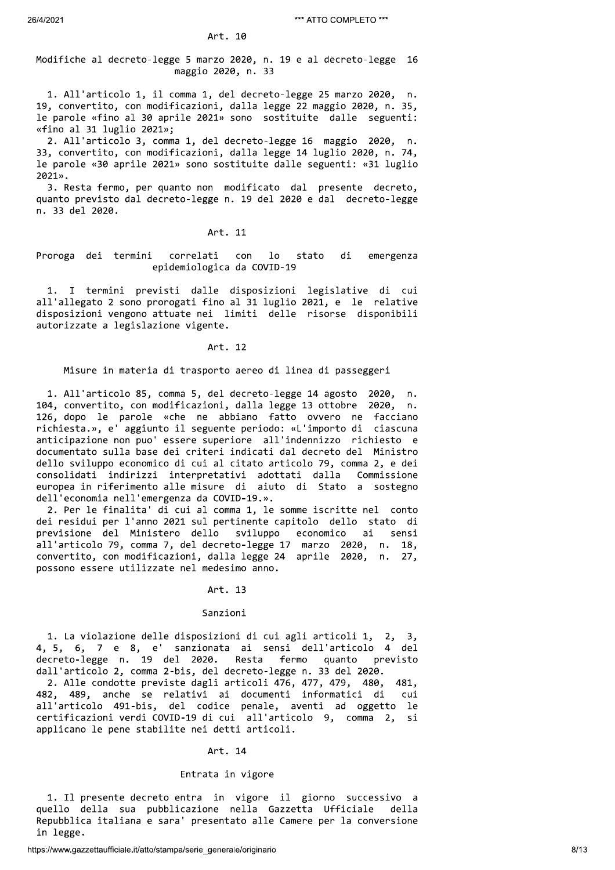Art. 10

# Modifiche al decreto-legge 5 marzo 2020, n. 19 e al decreto-legge 16 maggio 2020, n. 33

1. All'articolo 1, il comma 1, del decreto-legge 25 marzo 2020, n. 19, convertito, con modificazioni, dalla legge 22 maggio 2020, n. 35, le parole «fino al 30 aprile 2021» sono sostituite dalle seguenti: «fino al 31 luglio 2021»;

2. All'articolo 3, comma 1, del decreto-legge 16 maggio 2020, n. 33, convertito, con modificazioni, dalla legge 14 luglio 2020, n. 74, le parole «30 aprile 2021» sono sostituite dalle seguenti: «31 luglio  $2021$ ».

3. Resta fermo, per quanto non modificato dal presente decreto, quanto previsto dal decreto-legge n. 19 del 2020 e dal decreto-legge n. 33 del 2020.

# Art. 11

### Proroga dei termini correlati con  $1<sub>o</sub>$ stato di emergenza epidemiologica da COVID-19

1. I termini previsti dalle disposizioni legislative di cui all'allegato 2 sono prorogati fino al 31 luglio 2021, e le relative disposizioni vengono attuate nei limiti delle risorse disponibili autorizzate a legislazione vigente.

### Art. 12

Misure in materia di trasporto aereo di linea di passeggeri

1. All'articolo 85, comma 5, del decreto-legge 14 agosto 2020, 104, convertito, con modificazioni, dalla legge 13 ottobre 2020, n. 126, dopo le parole «che ne abbiano fatto ovvero ne facciano richiesta.», e' aggiunto il seguente periodo: «L'importo di ciascuna anticipazione non puo' essere superiore all'indennizzo richiesto e documentato sulla base dei criteri indicati dal decreto del Ministro dello sviluppo economico di cui al citato articolo 79, comma 2, e dei consolidati indirizzi interpretativi adottati dalla Commissione<br>europea in riferimento alle misure di aiuto di Stato a sostegno dell'economia nell'emergenza da COVID-19.».

2. Per le finalita' di cui al comma 1, le somme iscritte nel conto dei residui per l'anno 2021 sul pertinente capitolo dello stato di previsione del Ministero dello sviluppo economico ai sensi all'articolo 79, comma 7, del decreto-legge 17 marzo 2020, n. 18, convertito, con modificazioni, dalla legge 24 aprile 2020, n. 27, possono essere utilizzate nel medesimo anno.

### Art. 13

### Sanzioni

1. La violazione delle disposizioni di cui agli articoli 1, 2, 3, 4, 5, 6, 7 e 8, e' sanzionata ai sensi dell'articolo 4 del decreto-legge n. 19 del 2020. Resta fermo quanto previsto dall'articolo 2, comma 2-bis, del decreto-legge n. 33 del 2020.

2. Alle condotte previste dagli articoli 476, 477, 479, 480, 481, 482, 489, anche se relativi ai documenti informatici di cui all'articolo 491-bis, del codice penale, aventi ad oggetto le certificazioni verdi COVID-19 di cui all'articolo 9, comma 2, si applicano le pene stabilite nei detti articoli.

# Art. 14

# Entrata in vigore

1. Il presente decreto entra in vigore il giorno successivo a quello della sua pubblicazione nella Gazzetta Ufficiale della Repubblica italiana e sara' presentato alle Camere per la conversione in legge.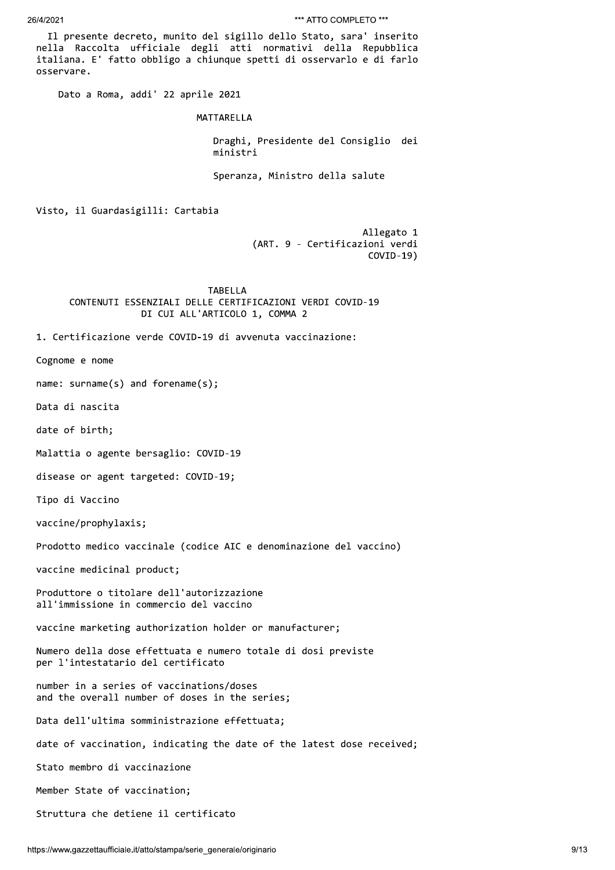Il presente decreto, munito del sigillo dello Stato, sara' inserito nella Raccolta ufficiale degli atti normativi della Repubblica italiana. E' fatto obbligo a chiunque spetti di osservarlo e di farlo osservare.

Dato a Roma, addi' 22 aprile 2021

MATTARELLA

Draghi, Presidente del Consiglio dei ministri

Speranza, Ministro della salute

Visto, il Guardasigilli: Cartabia

Allegato 1 (ART. 9 - Certificazioni verdi  $COVID-19)$ 

**TABELLA** CONTENUTI ESSENZIALI DELLE CERTIFICAZIONI VERDI COVID-19 DI CUI ALL'ARTICOLO 1, COMMA 2

1. Certificazione verde COVID-19 di avvenuta vaccinazione:

Cognome e nome

name:  $\text{sum}(\mathsf{s})$  and  $\text{forename}(\mathsf{s})$ ;

Data di nascita

date of birth;

Malattia o agente bersaglio: COVID-19

disease or agent targeted: COVID-19;

Tipo di Vaccino

vaccine/prophylaxis;

Prodotto medico vaccinale (codice AIC e denominazione del vaccino)

vaccine medicinal product;

Produttore o titolare dell'autorizzazione all'immissione in commercio del vaccino

vaccine marketing authorization holder or manufacturer;

Numero della dose effettuata e numero totale di dosi previste per l'intestatario del certificato

number in a series of vaccinations/doses and the overall number of doses in the series;

Data dell'ultima somministrazione effettuata;

date of vaccination, indicating the date of the latest dose received;

Stato membro di vaccinazione

Member State of vaccination;

Struttura che detiene il certificato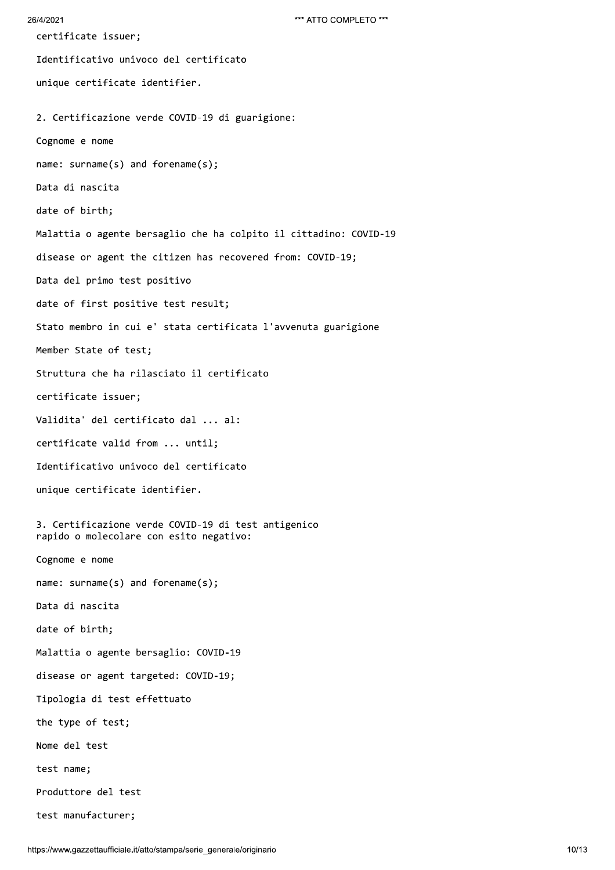```
26/4/2021
```
certificate issuer; Identificativo univoco del certificato unique certificate identifier. 2. Certificazione verde COVID-19 di guarigione: Cognome e nome name: surname(s) and forename(s); Data di nascita date of birth; Malattia o agente bersaglio che ha colpito il cittadino: COVID-19 disease or agent the citizen has recovered from: COVID-19; Data del primo test positivo date of first positive test result; Stato membro in cui e' stata certificata l'avvenuta guarigione Member State of test; Struttura che ha rilasciato il certificato certificate issuer; Validita' del certificato dal ... al: certificate valid from ... until; Identificativo univoco del certificato unique certificate identifier. 3. Certificazione verde COVID-19 di test antigenico rapido o molecolare con esito negativo: Cognome e nome name: surname(s) and forename(s); Data di nascita date of birth; Malattia o agente bersaglio: COVID-19 disease or agent targeted: COVID-19; Tipologia di test effettuato the type of test; Nome del test test name; Produttore del test test manufacturer;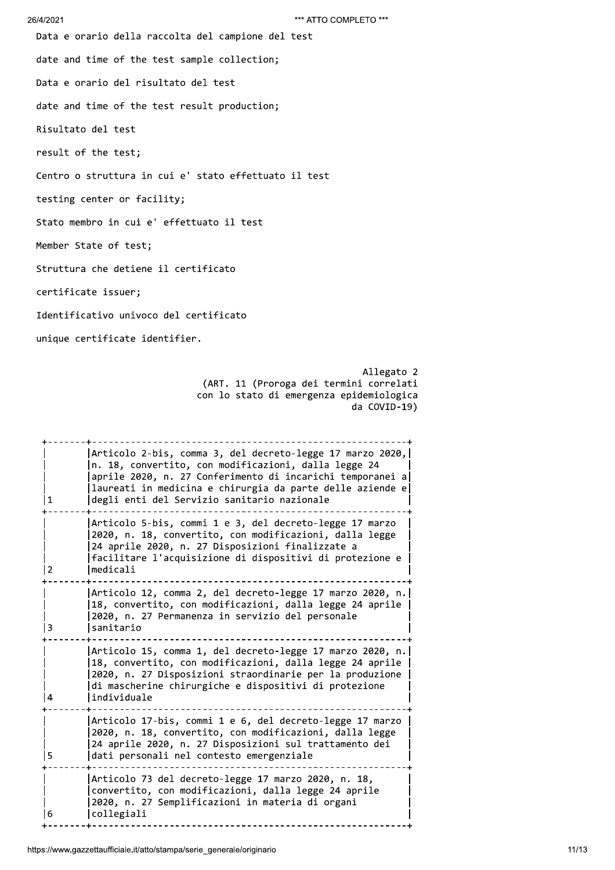### 26/4/2

<sup>\*\*\*</sup>ATTO<br>Data e orario della raccolta del campione del test<br>date and time of the test sample collection;<br>Data e orario del risultato del test<br>date and time of the test result production;<br>Risultato del test

| 26/4/2021 | *** ATTO COMPLETO ***                                                                                                                                                                                                                                                                                                                                                                                                                                                                         |
|-----------|-----------------------------------------------------------------------------------------------------------------------------------------------------------------------------------------------------------------------------------------------------------------------------------------------------------------------------------------------------------------------------------------------------------------------------------------------------------------------------------------------|
|           | Data e orario della raccolta del campione del test                                                                                                                                                                                                                                                                                                                                                                                                                                            |
|           | date and time of the test sample collection;                                                                                                                                                                                                                                                                                                                                                                                                                                                  |
|           | Data e orario del risultato del test                                                                                                                                                                                                                                                                                                                                                                                                                                                          |
|           | date and time of the test result production;                                                                                                                                                                                                                                                                                                                                                                                                                                                  |
|           | Risultato del test                                                                                                                                                                                                                                                                                                                                                                                                                                                                            |
|           | result of the test;                                                                                                                                                                                                                                                                                                                                                                                                                                                                           |
|           | Centro o struttura in cui e' stato effettuato il test                                                                                                                                                                                                                                                                                                                                                                                                                                         |
|           | testing center or facility;                                                                                                                                                                                                                                                                                                                                                                                                                                                                   |
|           | Stato membro in cui e' effettuato il test                                                                                                                                                                                                                                                                                                                                                                                                                                                     |
|           | Member State of test;                                                                                                                                                                                                                                                                                                                                                                                                                                                                         |
|           | Struttura che detiene il certificato                                                                                                                                                                                                                                                                                                                                                                                                                                                          |
|           | certificate issuer;                                                                                                                                                                                                                                                                                                                                                                                                                                                                           |
|           | Identificativo univoco del certificato                                                                                                                                                                                                                                                                                                                                                                                                                                                        |
|           | unique certificate identifier.                                                                                                                                                                                                                                                                                                                                                                                                                                                                |
|           |                                                                                                                                                                                                                                                                                                                                                                                                                                                                                               |
|           | n. 18, convertito, con modificazioni, dalla legge 24                                                                                                                                                                                                                                                                                                                                                                                                                                          |
| 1         | degli enti del Servizio sanitario nazionale                                                                                                                                                                                                                                                                                                                                                                                                                                                   |
| 2         | Articolo 5-bis, commi 1 e 3, del decreto-legge 17 marzo<br>2020, n. 18, convertito, con modificazioni, dalla legge<br>24 aprile 2020, n. 27 Disposizioni finalizzate a<br>facilitare l'acquisizione di dispositivi di protezione e<br>medicali                                                                                                                                                                                                                                                |
| 3         | 18, convertito, con modificazioni, dalla legge 24 aprile<br>2020, n. 27 Permanenza in servizio del personale<br>sanitario                                                                                                                                                                                                                                                                                                                                                                     |
| 4         | Articolo 12, comma 2, del decreto-legge 17 marzo 2020, n.<br>18, convertito, con modificazioni, dalla legge 24 aprile<br>2020, n. 27 Disposizioni straordinarie per la produzione<br>di mascherine chirurgiche e dispositivi di protezione<br>individuale                                                                                                                                                                                                                                     |
| 5         | da COVID-19)<br>Articolo 2-bis, comma 3, del decreto-legge 17 marzo 2020,<br>aprile 2020, n. 27 Conferimento di incarichi temporanei a<br>laureati in medicina e chirurgia da parte delle aziende e<br>Articolo 15, comma 1, del decreto-legge 17 marzo 2020, n.<br>Articolo 17-bis, commi 1 e 6, del decreto-legge 17 marzo<br>2020, n. 18, convertito, con modificazioni, dalla legge<br>24 aprile 2020, n. 27 Disposizioni sul trattamento dei<br>dati personali nel contesto emergenziale |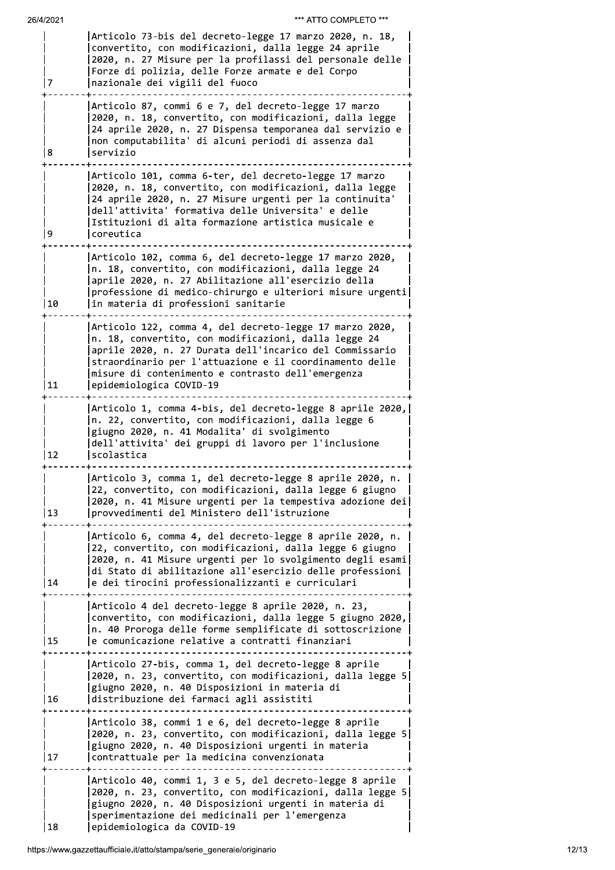|    | Articolo 73-bis del decreto-legge 17 marzo 2020, n. 18,<br>convertito, con modificazioni, dalla legge 24 aprile<br>2020, n. 27 Misure per la profilassi del personale delle<br>Forze di polizia, delle Forze armate e del Corpo<br>nazionale dei vigili del fuoco                                                     |
|----|-----------------------------------------------------------------------------------------------------------------------------------------------------------------------------------------------------------------------------------------------------------------------------------------------------------------------|
| 8  | Articolo 87, commi 6 e 7, del decreto-legge 17 marzo<br>2020, n. 18, convertito, con modificazioni, dalla legge<br>24 aprile 2020, n. 27 Dispensa temporanea dal servizio e<br>non computabilita' di alcuni periodi di assenza dal<br>servizio                                                                        |
| 9  | Articolo 101, comma 6-ter, del decreto-legge 17 marzo<br>2020, n. 18, convertito, con modificazioni, dalla legge<br>24 aprile 2020, n. 27 Misure urgenti per la continuita'<br>dell'attivita' formativa delle Universita' e delle<br>Istituzioni di alta formazione artistica musicale e<br>coreutica                 |
| 10 | Articolo 102, comma 6, del decreto-legge 17 marzo 2020,<br>n. 18, convertito, con modificazioni, dalla legge 24<br>aprile 2020, n. 27 Abilitazione all'esercizio della<br>professione di medico-chirurgo e ulteriori misure urgenti<br>in materia di professioni sanitarie                                            |
| 11 | Articolo 122, comma 4, del decreto-legge 17 marzo 2020,<br>n. 18, convertito, con modificazioni, dalla legge 24<br>aprile 2020, n. 27 Durata dell'incarico del Commissario<br>straordinario per l'attuazione e il coordinamento delle<br>misure di contenimento e contrasto dell'emergenza<br>epidemiologica COVID-19 |
| 12 | Articolo 1, comma 4-bis, del decreto-legge 8 aprile 2020,<br>n. 22, convertito, con modificazioni, dalla legge 6<br>giugno 2020, n. 41 Modalita' di svolgimento<br>dell'attivita' dei gruppi di lavoro per l'inclusione<br>scolastica                                                                                 |
| 13 | Articolo 3, comma 1, del decreto-legge 8 aprile 2020, n.<br>22, convertito, con modificazioni, dalla legge 6 giugno<br>2020, n. 41 Misure urgenti per la tempestiva adozione dei<br>provvedimenti del Ministero dell'istruzione                                                                                       |
| 14 | Articolo 6, comma 4, del decreto-legge 8 aprile 2020, n.<br>22, convertito, con modificazioni, dalla legge 6 giugno<br>2020, n. 41 Misure urgenti per lo svolgimento degli esami<br>di Stato di abilitazione all'esercizio delle professioni<br>e dei tirocini professionalizzanti e curriculari                      |
| 15 | Articolo 4 del decreto-legge 8 aprile 2020, n. 23,<br>convertito, con modificazioni, dalla legge 5 giugno 2020,<br>n. 40 Proroga delle forme semplificate di sottoscrizione<br>e comunicazione relative a contratti finanziari                                                                                        |
| 16 | Articolo 27-bis, comma 1, del decreto-legge 8 aprile<br>2020, n. 23, convertito, con modificazioni, dalla legge 5<br>giugno 2020, n. 40 Disposizioni in materia di<br>distribuzione dei farmaci agli assistiti                                                                                                        |
| 17 | Articolo 38, commi 1 e 6, del decreto-legge 8 aprile<br>2020, n. 23, convertito, con modificazioni, dalla legge 5<br>giugno 2020, n. 40 Disposizioni urgenti in materia<br>contrattuale per la medicina convenzionata                                                                                                 |
| 18 | Articolo 40, commi 1, 3 e 5, del decreto-legge 8 aprile<br>2020, n. 23, convertito, con modificazioni, dalla legge 5<br>giugno 2020, n. 40 Disposizioni urgenti in materia di<br>sperimentazione dei medicinali per l'emergenza<br>epidemiologica da COVID-19                                                         |